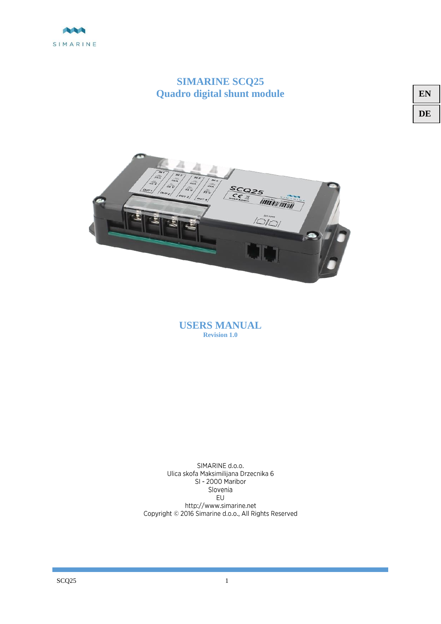

### **SIMARINE SCQ25 Quadro digital shunt module**



**EN**



**USERS MANUAL Revision 1.0**

SIMARINE d.o.o. Ulica skofa Maksimilijana Drzecnika 6 SI - 2000 Maribor Slovenia EU http://www.simarine.net<br>Copyright © 2016 Simarine d.o.o., All Rights Reserved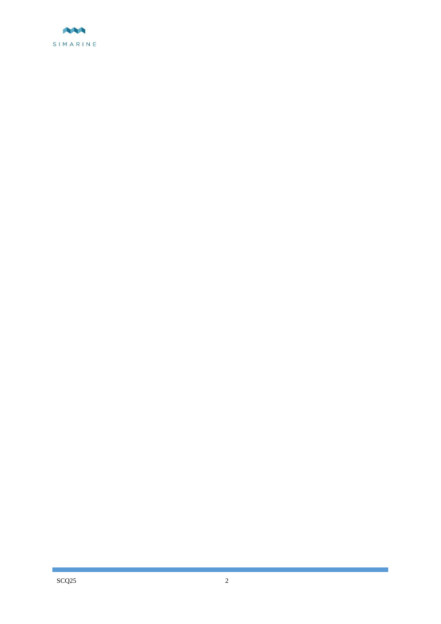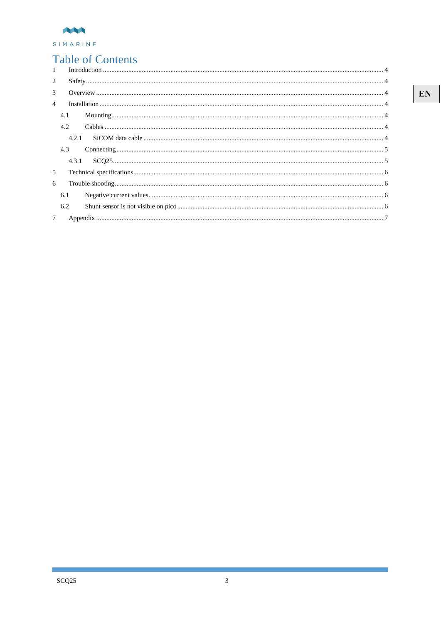

# **Table of Contents**

| $\mathbf{1}$   |                                                                                                                                                                                                                                                                                                                                                                                                                                                                     |  |  |
|----------------|---------------------------------------------------------------------------------------------------------------------------------------------------------------------------------------------------------------------------------------------------------------------------------------------------------------------------------------------------------------------------------------------------------------------------------------------------------------------|--|--|
| 2              |                                                                                                                                                                                                                                                                                                                                                                                                                                                                     |  |  |
| 3              |                                                                                                                                                                                                                                                                                                                                                                                                                                                                     |  |  |
| $\overline{4}$ | $\qquad \qquad \text{Installation} \qquad \qquad \text{} \qquad \qquad \text{} \qquad \qquad \text{} \qquad \qquad \text{} \qquad \qquad \text{} \qquad \qquad \text{} \qquad \qquad \text{} \qquad \qquad \text{} \qquad \qquad \text{} \qquad \qquad \text{} \qquad \qquad \text{} \qquad \qquad \text{} \qquad \qquad \text{} \qquad \qquad \text{} \qquad \qquad \text{} \qquad \qquad \text{} \qquad \qquad \text{} \qquad \qquad \text{} \qquad \qquad \text$ |  |  |
|                | 4.1                                                                                                                                                                                                                                                                                                                                                                                                                                                                 |  |  |
|                | 4.2                                                                                                                                                                                                                                                                                                                                                                                                                                                                 |  |  |
|                |                                                                                                                                                                                                                                                                                                                                                                                                                                                                     |  |  |
|                | 4.3                                                                                                                                                                                                                                                                                                                                                                                                                                                                 |  |  |
|                |                                                                                                                                                                                                                                                                                                                                                                                                                                                                     |  |  |
| 5              |                                                                                                                                                                                                                                                                                                                                                                                                                                                                     |  |  |
| 6              |                                                                                                                                                                                                                                                                                                                                                                                                                                                                     |  |  |
|                | 6.1                                                                                                                                                                                                                                                                                                                                                                                                                                                                 |  |  |
|                | 6.2                                                                                                                                                                                                                                                                                                                                                                                                                                                                 |  |  |
| $\tau$         |                                                                                                                                                                                                                                                                                                                                                                                                                                                                     |  |  |

EN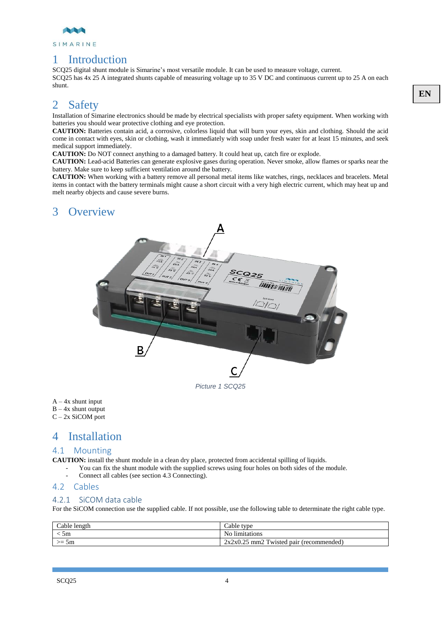

### 1 Introduction

SCQ25 digital shunt module is Simarine's most versatile module. It can be used to measure voltage, current. SCQ25 has 4x 25 A integrated shunts capable of measuring voltage up to 35 V DC and continuous current up to 25 A on each shunt.

### 2 Safety

Installation of Simarine electronics should be made by electrical specialists with proper safety equipment. When working with batteries you should wear protective clothing and eye protection.

**CAUTION:** Batteries contain acid, a corrosive, colorless liquid that will burn your eyes, skin and clothing. Should the acid come in contact with eyes, skin or clothing, wash it immediately with soap under fresh water for at least 15 minutes, and seek medical support immediately.

**CAUTION:** Do NOT connect anything to a damaged battery. It could heat up, catch fire or explode.

**CAUTION:** Lead-acid Batteries can generate explosive gases during operation. Never smoke, allow flames or sparks near the battery. Make sure to keep sufficient ventilation around the battery.

**CAUTION:** When working with a battery remove all personal metal items like watches, rings, necklaces and bracelets. Metal items in contact with the battery terminals might cause a short circuit with a very high electric current, which may heat up and melt nearby objects and cause severe burns.

### 3 Overview



 $A - 4x$  shunt input

 $B - 4x$  shunt output

C – 2x SiCOM port

# 4 Installation

### 4.1 Mounting

**CAUTION:** install the shunt module in a clean dry place, protected from accidental spilling of liquids.

- You can fix the shunt module with the supplied screws using four holes on both sides of the module.
- Connect all cables (see section [4.3](#page-4-0) [Connecting\)](#page-4-0).

### 4.2 Cables

### 4.2.1 SiCOM data cable

For the SiCOM connection use the supplied cable. If not possible, use the following table to determinate the right cable type.

| Cable length | Cable tvpe                                |
|--------------|-------------------------------------------|
| эm           | No limitations                            |
| $\geq$ 5m    | $2x2x0.25$ mm2 Twisted pair (recommended) |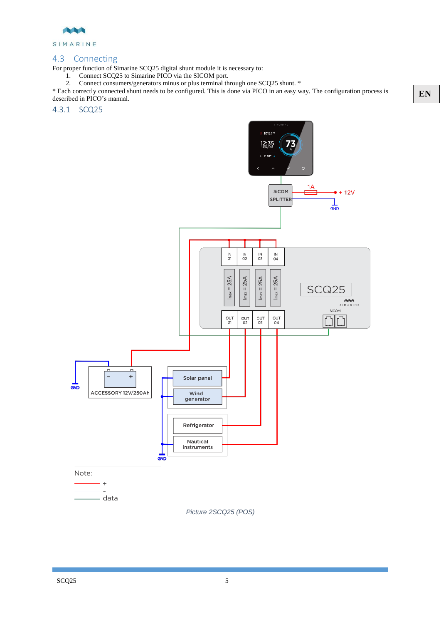

### <span id="page-4-0"></span>4.3 Connecting

For proper function of Simarine SCQ25 digital shunt module it is necessary to:

- 1. Connect SCQ25 to Simarine PICO via the SICOM port.
- 2. Connect consumers/generators minus or plus terminal through one SCQ25 shunt. \*

\* Each correctly connected shunt needs to be configured. This is done via PICO in an easy way. The configuration process is described in PICO's manual.

### 4.3.1 SCQ25



*Picture 2SCQ25 (POS)*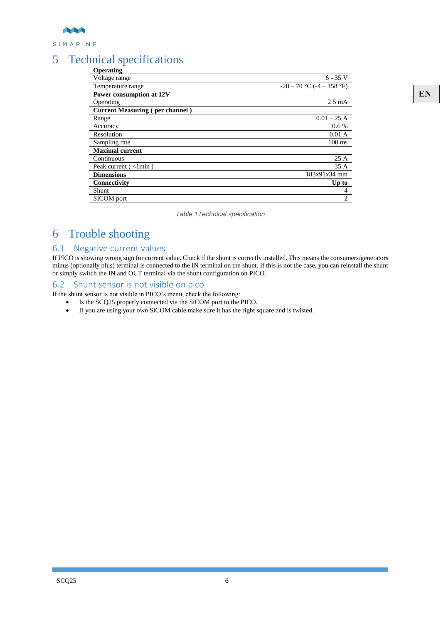

# 5 Technical specifications

| Operating                              |                                |
|----------------------------------------|--------------------------------|
| Voltage range                          | $6 - 35$ V                     |
| Temperature range                      | $-20 - 70$ °C ( $-4 - 158$ °F) |
| Power consumption at 12V               |                                |
| Operating                              | $2.5 \text{ mA}$               |
| <b>Current Measuring (per channel)</b> |                                |
| Range                                  | $0.01 - 25$ A                  |
| Accuracy                               | $0.6\%$                        |
| Resolution                             | 0.01 A                         |
| Sampling rate                          | $100 \text{ ms}$               |
| <b>Maximal current</b>                 |                                |
| Continuous                             | 25 A                           |
| Peak current $($ <1min)                | 35 A                           |
| <b>Dimensions</b>                      | 183x91x34 mm                   |
| Connectivity                           | Up to                          |
| Shunt                                  | 4                              |
| SICOM port                             | $\overline{2}$                 |

*Table 1Technical specification*

# 6 Trouble shooting

### 6.1 Negative current values

If PICO is showing wrong sign for current value. Check if the shunt is correctly installed. This means the consumers/generators minus (optionally plus) terminal is connected to the IN terminal on the shunt. If this is not the case, you can reinstall the shunt or simply switch the IN and OUT terminal via the shunt configuration on PICO.

#### 6.2 Shunt sensor is not visible on pico

If the shunt sensor is not visible in PICO's menu, check the following:

- Is the SCQ25 properly connected via the SiCOM port to the PICO.
- If you are using your own SiCOM cable make sure it has the right square and is twisted.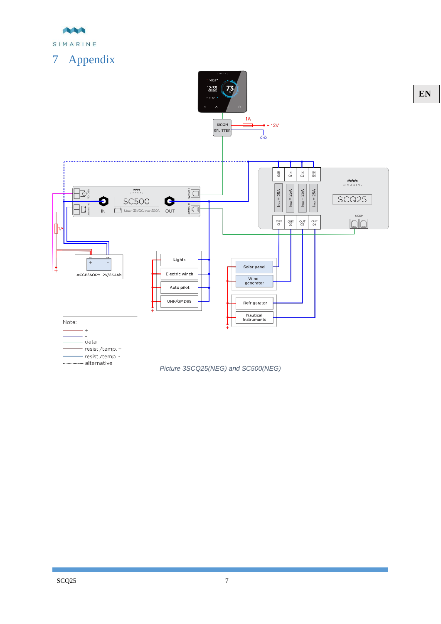



**EN**

*Picture 3SCQ25(NEG) and SC500(NEG)*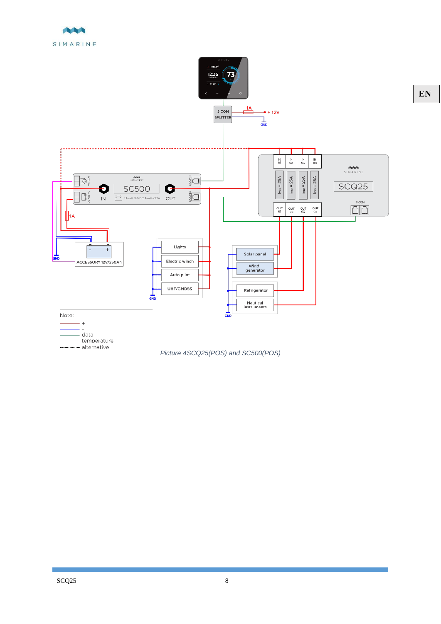



temperature ...... alternative

Picture 4SCQ25(POS) and SC500(POS)

EN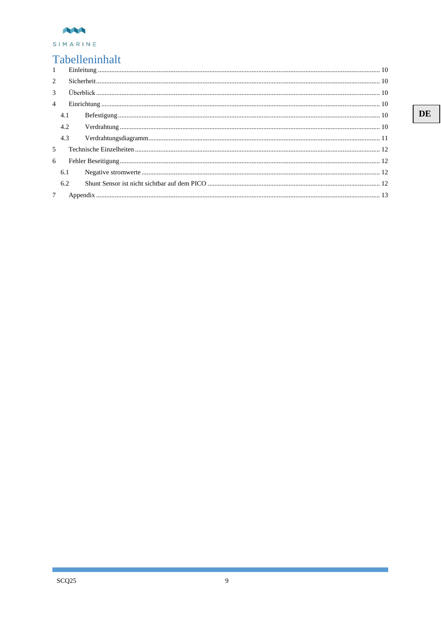

# Tabelleninhalt

| $\overline{2}$  |     |  |  |  |
|-----------------|-----|--|--|--|
| $\mathcal{F}$   |     |  |  |  |
| $\overline{4}$  |     |  |  |  |
|                 | 4.1 |  |  |  |
|                 | 4.2 |  |  |  |
|                 | 4.3 |  |  |  |
| 5               |     |  |  |  |
| 6               |     |  |  |  |
|                 | 6.1 |  |  |  |
|                 | 6.2 |  |  |  |
| $7\overline{ }$ |     |  |  |  |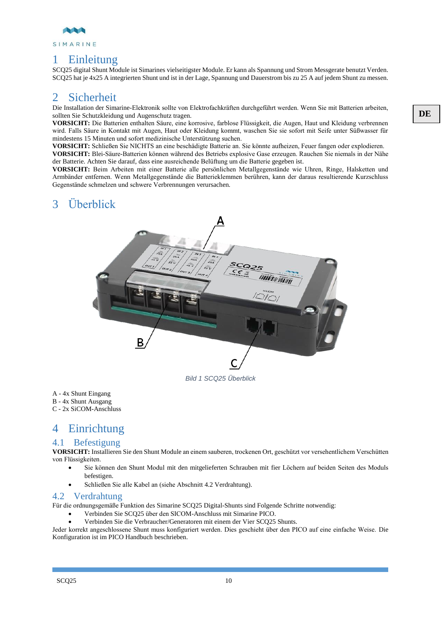

## 1 Einleitung

SCQ25 digital Shunt Module ist Simarines vielseitigster Module. Er kann als Spannung und Strom Messgerate benutzt Verden. SCQ25 hat je 4x25 A integrierten Shunt und ist in der Lage, Spannung und Dauerstrom bis zu 25 A auf jedem Shunt zu messen.

# 2 Sicherheit

Die Installation der Simarine-Elektronik sollte von Elektrofachkräften durchgeführt werden. Wenn Sie mit Batterien arbeiten, sollten Sie Schutzkleidung und Augenschutz tragen.

**VORSICHT:** Die Batterien enthalten Säure, eine korrosive, farblose Flüssigkeit, die Augen, Haut und Kleidung verbrennen wird. Falls Säure in Kontakt mit Augen, Haut oder Kleidung kommt, waschen Sie sie sofort mit Seife unter Süßwasser für mindestens 15 Minuten und sofort medizinische Unterstützung suchen.

**VORSICHT:** Schließen Sie NICHTS an eine beschädigte Batterie an. Sie könnte aufheizen, Feuer fangen oder explodieren. **VORSICHT:** Blei-Säure-Batterien können während des Betriebs explosive Gase erzeugen. Rauchen Sie niemals in der Nähe der Batterie. Achten Sie darauf, dass eine ausreichende Belüftung um die Batterie gegeben ist.

**VORSICHT:** Beim Arbeiten mit einer Batterie alle persönlichen Metallgegenstände wie Uhren, Ringe, Halsketten und Armbänder entfernen. Wenn Metallgegenstände die Batterieklemmen berühren, kann der daraus resultierende Kurzschluss Gegenstände schmelzen und schwere Verbrennungen verursachen.

# 3 Überblick



*Bild 1 SCQ25 Überblick*

A - 4x Shunt Eingang

- B 4x Shunt Ausgang
- C 2x SiCOM-Anschluss

# 4 Einrichtung

### 4.1 Befestigung

**VORSICHT:** Installieren Sie den Shunt Module an einem sauberen, trockenen Ort, geschützt vor versehentlichem Verschütten von Flüssigkeiten.

- Sie können den Shunt Modul mit den mitgelieferten Schrauben mit fier Löchern auf beiden Seiten des Moduls befestigen.
- Schließen Sie alle Kabel an (siehe Abschnitt [4.2](#page-9-0) [Verdrahtung\)](#page-9-0).

### <span id="page-9-0"></span>4.2 Verdrahtung

Für die ordnungsgemäße Funktion des Simarine SCQ25 Digital-Shunts sind Folgende Schritte notwendig:

- Verbinden Sie SCQ25 über den SICOM-Anschluss mit Simarine PICO.
- Verbinden Sie die Verbraucher/Generatoren mit einem der Vier SCQ25 Shunts.

Jeder korrekt angeschlossene Shunt muss konfiguriert werden. Dies geschieht über den PICO auf eine einfache Weise. Die Konfiguration ist im PICO Handbuch beschrieben.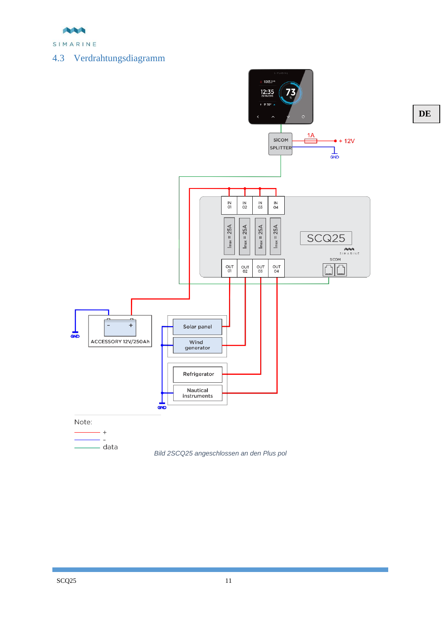

### 4.3 Verdrahtungsdiagramm



 $DE$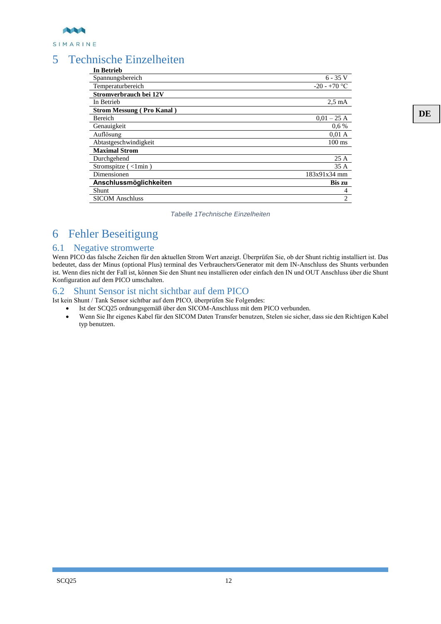

# 5 Technische Einzelheiten

| <b>In Betrieb</b>                |                  |
|----------------------------------|------------------|
| Spannungsbereich                 | $6 - 35$ V       |
| Temperaturbereich                | $-20 - +70$ °C   |
| Stromverbrauch bei 12V           |                  |
| In Betrieb                       | $2.5 \text{ mA}$ |
| <b>Strom Messung (Pro Kanal)</b> |                  |
| <b>Bereich</b>                   | $0.01 - 25$ A    |
| Genauigkeit                      | 0.6%             |
| Auflösung                        | 0.01 A           |
| Abtastgeschwindigkeit            | $100 \text{ ms}$ |
| <b>Maximal Strom</b>             |                  |
| Durchgehend                      | 25 A             |
| Stromspitze $($ <1min)           | 35 A             |
| Dimensionen                      | 183x91x34 mm     |
| Anschlussmöglichkeiten           | <b>Bis zu</b>    |
| Shunt                            | $\overline{4}$   |
| <b>SICOM Anschluss</b>           | $\overline{2}$   |

*Tabelle 1Technische Einzelheiten*

# 6 Fehler Beseitigung

### 6.1 Negative stromwerte

Wenn PICO das falsche Zeichen für den aktuellen Strom Wert anzeigt. Überprüfen Sie, ob der Shunt richtig installiert ist. Das bedeutet, dass der Minus (optional Plus) terminal des Verbrauchers/Generator mit dem IN-Anschluss des Shunts verbunden ist. Wenn dies nicht der Fall ist, können Sie den Shunt neu installieren oder einfach den IN und OUT Anschluss über die Shunt Konfiguration auf dem PICO umschalten.

### 6.2 Shunt Sensor ist nicht sichtbar auf dem PICO

Ist kein Shunt / Tank Sensor sichtbar auf dem PICO, überprüfen Sie Folgendes:

- Ist der SCQ25 ordnungsgemäß über den SICOM-Anschluss mit dem PICO verbunden.
- Wenn Sie Ihr eigenes Kabel für den SICOM Daten Transfer benutzen, Stelen sie sicher, dass sie den Richtigen Kabel typ benutzen.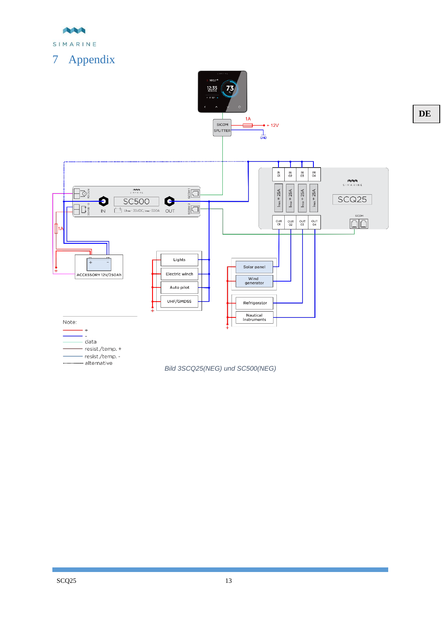



**DE**

*Bild 3SCQ25(NEG) und SC500(NEG)*